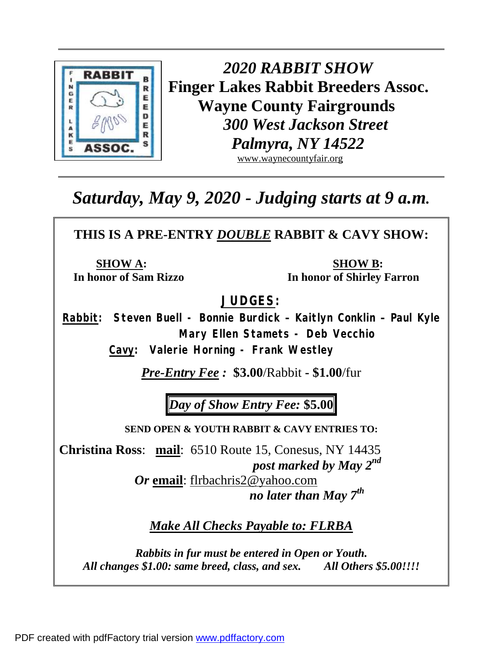

**RABBIT B**  $2020$  *RABBIT* **SHOW EXAMPLE FINDER IS A FINDER EXAMPLE PROPERTY ASSOC.** Wavne County Fairgrounds  **Wayne County Fairgrounds**   $\frac{1}{2}$   $\frac{1}{2}$   $\frac{1}{2}$   $\frac{1}{2}$   $\frac{1}{2}$  300 *West Jackson Street Palmyra, NY 14522*  [www.waynecountyfair.org](http://www.waynecountyfair.org)

# *Saturday, May 9, 2020 - Judging starts at 9 a.m.*

**THIS IS A PRE-ENTRY** *DOUBLE* **RABBIT & CAVY SHOW: SHOW A: SHOW B: In honor of Sam Rizzo In honor of Shirley Farron JUDGES: Rabbit: Steven Buell - Bonnie Burdick – Kaitlyn Conklin – Paul Kyle Mary Ellen Stamets - Deb Vecchio Cavy: Valerie Horning - Frank Westley**  *Pre-Entry Fee :* **\$3.00**/Rabbit **- \$1.00**/fur *Day of Show Entry Fee:* **\$5.00 SEND OPEN & YOUTH RABBIT & CAVY ENTRIES TO: Christina Ross**: **mail**: 6510 Route 15, Conesus, NY 14435 *post marked by May 2<sup>nd</sup> Or* **email**: [flrbachris2@yahoo.com](mailto:flrbachris2@yahoo.com)  *no later than May 7th Make All Checks Payable to: FLRBA Rabbits in fur must be entered in Open or Youth. All changes \$1.00: same breed, class, and sex. All Others \$5.00!!!!*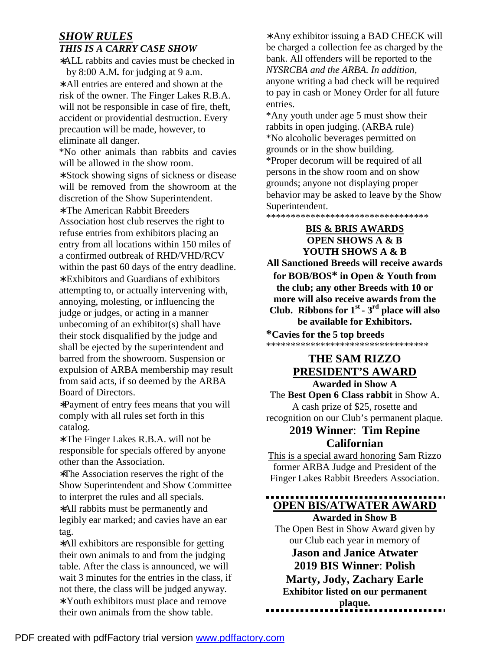### *SHOW RULES THIS IS A CARRY CASE SHOW*

∗ALL rabbits and cavies must be checked in by 8:00 A.M*.* for judging at 9 a.m.

∗ All entries are entered and shown at the risk of the owner. The Finger Lakes R.B.A. will not be responsible in case of fire, theft, accident or providential destruction. Every precaution will be made, however, to eliminate all danger.

\*No other animals than rabbits and cavies will be allowed in the show room.

∗ Stock showing signs of sickness or disease will be removed from the showroom at the discretion of the Show Superintendent.

∗ The American Rabbit Breeders

Association host club reserves the right to refuse entries from exhibitors placing an entry from all locations within 150 miles of a confirmed outbreak of RHD/VHD/RCV within the past 60 days of the entry deadline. ∗ Exhibitors and Guardians of exhibitors attempting to, or actually intervening with, annoying, molesting, or influencing the judge or judges, or acting in a manner unbecoming of an exhibitor(s) shall have their stock disqualified by the judge and shall be ejected by the superintendent and barred from the showroom. Suspension or expulsion of ARBA membership may result from said acts, if so deemed by the ARBA Board of Directors.

∗Payment of entry fees means that you will comply with all rules set forth in this catalog.

∗ The Finger Lakes R.B.A. will not be responsible for specials offered by anyone other than the Association.

∗The Association reserves the right of the Show Superintendent and Show Committee to interpret the rules and all specials. ∗All rabbits must be permanently and legibly ear marked; and cavies have an ear tag.

∗All exhibitors are responsible for getting their own animals to and from the judging table. After the class is announced, we will wait 3 minutes for the entries in the class, if not there, the class will be judged anyway. ∗ Youth exhibitors must place and remove

their own animals from the show table.

∗ Any exhibitor issuing a BAD CHECK will be charged a collection fee as charged by the bank. All offenders will be reported to the *NYSRCBA and the ARBA. In addition,* anyone writing a bad check will be required to pay in cash or Money Order for all future entries.

\*Any youth under age 5 must show their rabbits in open judging. (ARBA rule) \*No alcoholic beverages permitted on grounds or in the show building.

\*Proper decorum will be required of all persons in the show room and on show grounds; anyone not displaying proper behavior may be asked to leave by the Show Superintendent.

\*\*\*\*\*\*\*\*\*\*\*\*\*\*\*\*\*\*\*\*\*\*\*\*\*\*\*\*\*\*\*\*\*

### **BIS & BRIS AWARDS OPEN SHOWS A & B YOUTH SHOWS A & B**

**All Sanctioned Breeds will receive awards for BOB/BOS\* in Open & Youth from the club; any other Breeds with 10 or more will also receive awards from the Club. Ribbons for 1st - 3rd place will also be available for Exhibitors.** 

**\*Cavies for the 5 top breeds**  \*\*\*\*\*\*\*\*\*\*\*\*\*\*\*\*\*\*\*\*\*\*\*\*\*\*\*\*\*\*\*\*\*

# **THE SAM RIZZO PRESIDENT'S AWARD**

**Awarded in Show A**  The **Best Open 6 Class rabbit** in Show A. A cash prize of \$25, rosette and recognition on our Club's permanent plaque.

# **2019 Winner**: **Tim Repine Californian**

This is a special award honoring Sam Rizzo former ARBA Judge and President of the Finger Lakes Rabbit Breeders Association.

# **OPEN BIS/ATWATER AWARD**

**Awarded in Show B** The Open Best in Show Award given by our Club each year in memory of **Jason and Janice Atwater** 

**2019 BIS Winner**: **Polish**

**Marty, Jody, Zachary Earle Exhibitor listed on our permanent**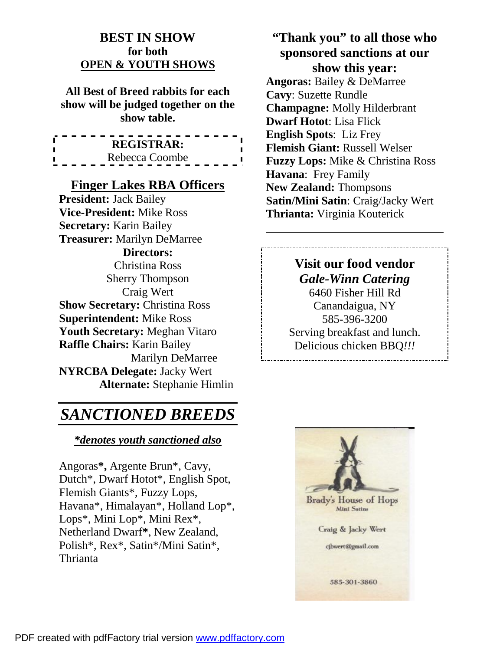### **BEST IN SHOW for both OPEN & YOUTH SHOWS**

**All Best of Breed rabbits for each show will be judged together on the show table.** 

| <b>REGISTRAR:</b> |  |  |  |
|-------------------|--|--|--|
| Rebecca Coombe    |  |  |  |

### **Finger Lakes RBA Officers**

**President:** Jack Bailey **Vice-President:** Mike Ross **Secretary:** Karin Bailey **Treasurer:** Marilyn DeMarree **Directors:**  Christina Ross Sherry Thompson Craig Wert **Show Secretary:** Christina Ross **Superintendent:** Mike Ross **Youth Secretary:** Meghan Vitaro **Raffle Chairs:** Karin Bailey Marilyn DeMarree **NYRCBA Delegate:** Jacky Wert **Alternate:** Stephanie Himlin

# *SANCTIONED BREEDS*

### *\*denotes youth sanctioned also*

Angoras**\* ,** Argente Brun\*, Cavy, Dutch\*, Dwarf Hotot\*, English Spot, Flemish Giants\*, Fuzzy Lops, Havana\*, Himalayan\*, Holland Lop\*, Lops\*, Mini Lop\*, Mini Rex\*, Netherland Dwarf**\***, New Zealand, Polish\*, Rex\*, Satin\*/Mini Satin\*, Thrianta

**"Thank you" to all those who sponsored sanctions at our show this year: Angoras:** Bailey & DeMarree **Cavy**: Suzette Rundle **Champagne:** Molly Hilderbrant **Dwarf Hotot**: Lisa Flick **English Spots**: Liz Frey **Flemish Giant:** Russell Welser **Fuzzy Lops:** Mike & Christina Ross **Havana**: Frey Family **New Zealand:** Thompsons **Satin/Mini Satin**: Craig/Jacky Wert **Thrianta:** Virginia Kouterick

# **Visit our food vendor**  *Gale-Winn Catering*

l

6460 Fisher Hill Rd Canandaigua, NY 585-396-3200 Serving breakfast and lunch. Delicious chicken BBQ*!!!*  

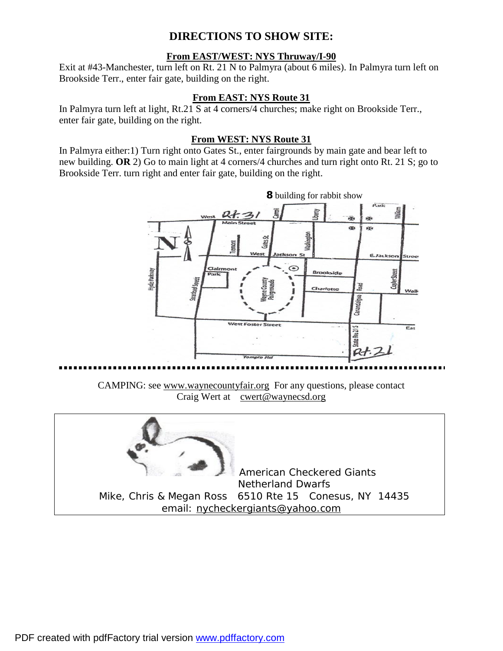### **DIRECTIONS TO SHOW SITE:**

### **From EAST/WEST: NYS Thruway/I-90**

Exit at #43-Manchester, turn left on Rt. 21 N to Palmyra (about 6 miles). In Palmyra turn left on Brookside Terr., enter fair gate, building on the right.

### **From EAST: NYS Route 31**

In Palmyra turn left at light, Rt.21 S at 4 corners/4 churches; make right on Brookside Terr., enter fair gate, building on the right.

### **From WEST: NYS Route 31**

In Palmyra either:1) Turn right onto Gates St., enter fairgrounds by main gate and bear left to new building. **OR** 2) Go to main light at 4 corners/4 churches and turn right onto Rt. 21 S; go to Brookside Terr. turn right and enter fair gate, building on the right.



CAMPING: see [www.waynecountyfair.org](http://www.waynecountyfair.org) For any questions, please contact Craig Wert at [cwert@waynecsd.org](mailto:cwert@waynecsd.org)

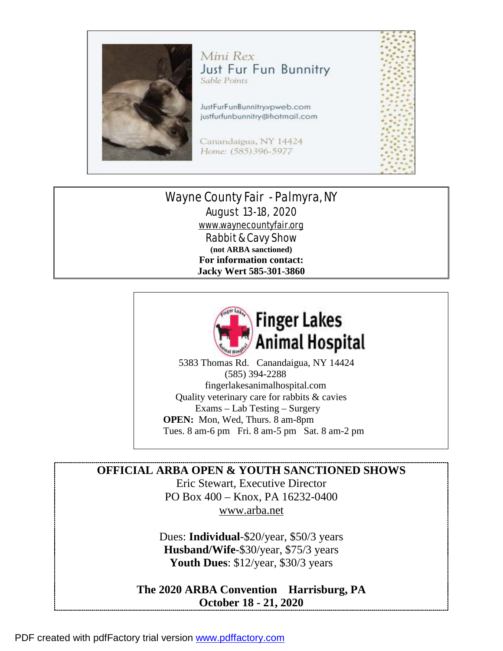

### Wayne County Fair - Palmyra, NY August 13-18, 2020 [www.waynecountyfair.org](http://www.waynecountyfair.org) Rabbit & Cavy Show **(not ARBA sanctioned) For information contact: Jacky Wert 585-301-3860**



 5383 Thomas Rd. Canandaigua, NY 14424 (585) 394-2288 fingerlakesanimalhospital.com Quality veterinary care for rabbits & cavies Exams – Lab Testing – Surgery  **OPEN:** Mon, Wed, Thurs. 8 am-8pm Tues. 8 am-6 pm Fri. 8 am-5 pm Sat. 8 am-2 pm

**OFFICIAL ARBA OPEN & YOUTH SANCTIONED SHOWS**  Eric Stewart, Executive Director PO Box 400 – Knox, PA 16232-0400 [www.arba.net](http://www.arba.net)

> Dues: **Individual**-\$20/year, \$50/3 years **Husband/Wife**-\$30/year, \$75/3 years **Youth Dues**: \$12/year, \$30/3 years

**The 2020 ARBA Convention Harrisburg, PA October 18 - 21, 2020**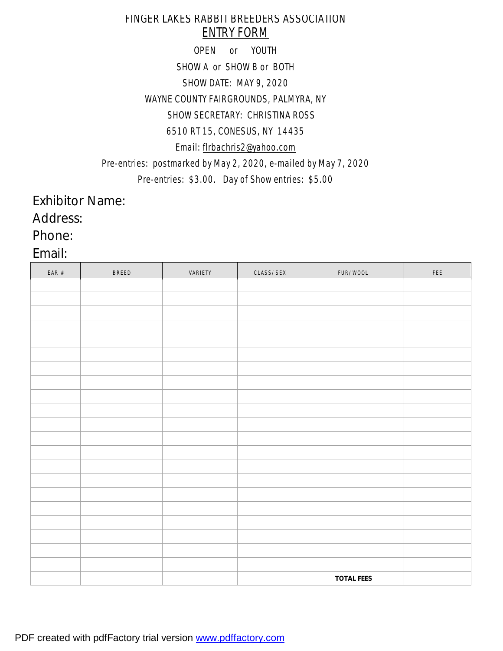## FINGER LAKES RABBIT BREEDERS ASSOCIATION *ENTRY FORM*

*OPEN or YOUTH SHOW A or SHOW B or BOTH SHOW DATE: MAY 9, 2020 WAYNE COUNTY FAIRGROUNDS, PALMYRA, NY SHOW SECRETARY: CHRISTINA ROSS 6510 RT 15, CONESUS, NY 14435 Email: [flrbachris2@yahoo.com](mailto:flrbachris2@yahoo.com) Pre-entries: postmarked by May 2, 2020, e-mailed by May 7, 2020 Pre-entries: \$3.00. Day of Show entries: \$5.00* 

Exhibitor Name:

Address:

Phone:

Email:

| $\textsf{EAR}~\#$ | <b>BREED</b> | VARIETY | CLASS/SEX | FUR/WOOL          | $\mathsf{F}\,\mathsf{E}\,\mathsf{E}$ |
|-------------------|--------------|---------|-----------|-------------------|--------------------------------------|
|                   |              |         |           |                   |                                      |
|                   |              |         |           |                   |                                      |
|                   |              |         |           |                   |                                      |
|                   |              |         |           |                   |                                      |
|                   |              |         |           |                   |                                      |
|                   |              |         |           |                   |                                      |
|                   |              |         |           |                   |                                      |
|                   |              |         |           |                   |                                      |
|                   |              |         |           |                   |                                      |
|                   |              |         |           |                   |                                      |
|                   |              |         |           |                   |                                      |
|                   |              |         |           |                   |                                      |
|                   |              |         |           |                   |                                      |
|                   |              |         |           |                   |                                      |
|                   |              |         |           |                   |                                      |
|                   |              |         |           |                   |                                      |
|                   |              |         |           |                   |                                      |
|                   |              |         |           |                   |                                      |
|                   |              |         |           |                   |                                      |
|                   |              |         |           |                   |                                      |
|                   |              |         |           |                   |                                      |
|                   |              |         |           | <b>TOTAL FEES</b> |                                      |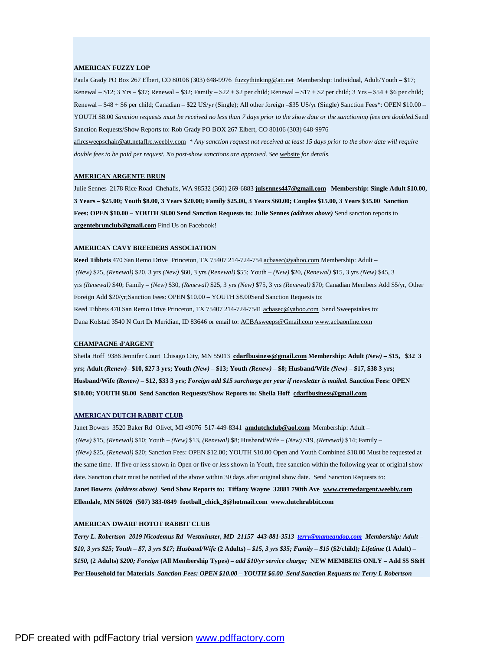#### **AMERICAN FUZZY LOP**

Paula Grady PO Box 267 Elbert, CO 80106 (303) 648-9976 [fuzzythinking@att.net](mailto:fuzzythinking@att.net) Membership: Individual, Adult/Youth - \$17; Renewal –  $$12$ ; 3 Yrs –  $$37$ ; Renewal –  $$32$ ; Family –  $$22 + $2$  per child; Renewal –  $$17 + $2$  per child; 3 Yrs –  $$54 + $6$  per child; Renewal – \$48 + \$6 per child; Canadian – \$22 US/yr (Single); All other foreign –\$35 US/yr (Single) Sanction Fees\*: OPEN \$10.00 – YOUTH \$8.00 Sanction requests must be received no less than 7 days prior to the show date or the sanctioning fees are doubled.Send Sanction Requests/Show Reports to: Rob Grady PO BOX 267 Elbert, CO 80106 (303) 648-9976

[aflrcsweepschair@att.netaflrc.weebly.com](mailto:aflrcsweepschair@att.netaflrc.weebly.com) \* Any sanction request not received at least 15 days prior to the show date will require *double fees to be paid per request. No post-show sanctions are approved. See* website *for details.*

#### **AMERICAN ARGENTE BRUN**

Julie Sennes2178 Rice Road Chehalis, WA 98532 (360) 269-6883 **[julsennes447@gmail.com](mailto:julsennes447@gmail.com) Membership: Single Adult \$10.00,**  3 Years - \$25.00; Youth \$8.00, 3 Years \$20.00; Family \$25.00, 3 Years \$60.00; Couples \$15.00, 3 Years \$35.00 Sanction **Fees: OPEN \$10.00 – YOUTH \$8.00 Send Sanction Requests to: Julie Sennes** *(address above)* Send sanction reports to **[argentebrunclub@gmail.com](mailto:argentebrunclub@gmail.com)** Find Us on Facebook!

#### **AMERICAN CAVY BREEDERS ASSOCIATION**

**Reed Tibbets** 470 San Remo Drive Princeton, TX 75407 214-724-754 [acbasec@yahoo.com](mailto:acbasec@yahoo.com) Membership: Adult – *(New)* \$25, *(Renewal)* \$20, 3 yrs *(New)* \$60, 3 yrs *(Renewal)* \$55; Youth – *(New)* \$20, *(Renewal)* \$15, 3 yrs *(New)* \$45, 3 yrs *(Renewal)* \$40; Family – *(New)* \$30, *(Renewal)* \$25, 3 yrs *(New)* \$75, 3 yrs *(Renewal)* \$70; Canadian Members Add \$5/yr, Other Foreign Add \$20/yr;Sanction Fees: OPEN \$10.00 – YOUTH \$8.00Send Sanction Requests to: Reed Tibbets 470 San Remo Drive Princeton, TX 75407 214-724-7541 [acbasec@yahoo.com](mailto:acbasec@yahoo.com) Send Sweepstakes to: Dana Kolstad 3540 N Curt Dr Meridian, ID 83646 or email to: [ACBAsweeps@Gmail.com](mailto:ACBAsweeps@Gmail.com) [www.acbaonline.com](http://www.acbaonline.com)

#### **CHAMPAGNE d'ARGENT**

Sheila Hoff 9386 Jennifer CourtChisago City, MN 55013 **[cdarfbusiness@gmail.com](mailto:cdarfbusiness@gmail.com) Membership: Adult** *(New)* **– \$15, \$32 3**  yrs; Adult (Renew)- \$10, \$27 3 yrs; Youth (New) - \$13; Youth (Renew) - \$8; Husband/Wife (New) - \$17, \$38 3 yrs; Husband/Wife (Renew) - \$12, \$33 3 yrs; Foreign add \$15 surcharge per year if newsletter is mailed. Sanction Fees: OPEN **\$10.00; YOUTH \$8.00 Send Sanction Requests/Show Reports to: Sheila Hoff [cdarfbusiness@gmail.com](mailto:cdarfbusiness@gmail.com)**

#### **AMERICAN DUTCH RABBIT CLUB**

Janet Bowers 3520 Baker Rd Olivet, MI 49076 517-449-8341 **[amdutchclub@aol.com](mailto:amdutchclub@aol.com)** Membership: Adult – *(New)* \$15, *(Renewal)* \$10; Youth – *(New)* \$13, *(Renewal)* \$8; Husband/Wife – *(New)* \$19, *(Renewal)* \$14; Family – *(New)* \$25, *(Renewal)* \$20; Sanction Fees: OPEN \$12.00; YOUTH \$10.00 Open and Youth Combined \$18.00 Must be requested at the same time. If five or less shown in Open or five or less shown in Youth, free sanction within the following year of original show date. Sanction chair must be notified of the above within 30 days after original show date. Send Sanction Requests to: **Janet Bowers** *(address above)* **Send Show Reports to: Tiffany Wayne 32881 790th Ave [www.cremedargent.weebly.com](http://www.cremedargent.weebly.com) Ellendale, MN 56026 (507) 383-0849 [football\\_chick\\_8@hotmail.com](mailto:football_chick_8@hotmail.com) [www.dutchrabbit.com](http://www.dutchrabbit.com)**

#### **AMERICAN DWARF HOTOT RABBIT CLUB**

*Terry L. Robertson 2019 Nicodemus Rd Westminster, MD 21157 443-881-3513 [terry@mameandop.com](mailto:terry@mameandop.com) Membership: Adult –*  \$10, 3 yrs \$25; Youth - \$7, 3 yrs \$17; Husband/Wife (2 Adults) - \$15, 3 yrs \$35; Family - \$15 (\$2/child); Lifetime (1 Adult) -\$150, (2 Adults) \$200; Foreign (All Membership Types) - add \$10/yr service charge; NEW MEMBERS ONLY - Add \$5 S&H **Per Household for Materials** *Sanction Fees: OPEN \$10.00 – YOUTH \$6.00 Send Sanction Requests to: Terry L Robertson*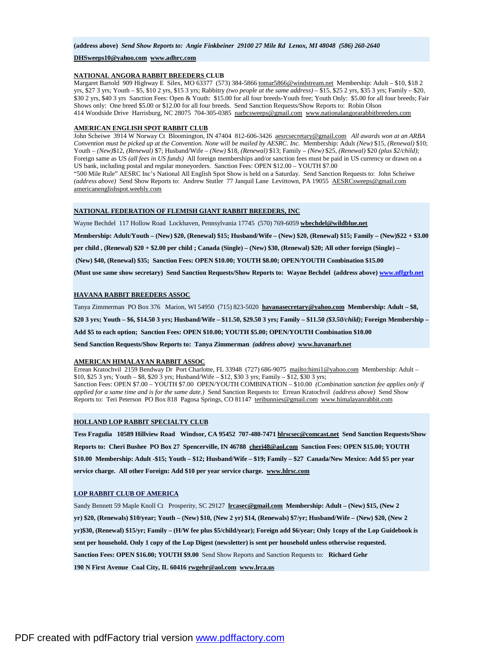#### **(address above)** *Send Show Reports to: Angie Finkbeiner 29100 27 Mile Rd Lenox, MI 48048 (586) 260-2640*

#### **[DHSweeps10@yahoo.com](mailto:DHSweeps10@yahoo.com) [www.adhrc.com](http://www.adhrc.com)**

#### **NATIONAL ANGORA RABBIT BREEDERS CLUB**

Margaret Bartold 909 Highway E Silex, MO 63377 (573) 384-5866 [tomar5866@windstream.net](mailto:tomar5866@windstream.net) Membership: Adult – \$10, \$18 2 yrs, \$27 3 yrs; Youth – \$5, \$10 2 yrs, \$15 3 yrs; Rabbitry *(two people at the same address)* – \$15, \$25 2 yrs, \$35 3 yrs; Family – \$20, \$30 2 yrs, \$40 3 yrs Sanction Fees: Open & Youth: \$15.00 for all four breeds-Youth free; Youth Only: \$5.00 for all four breeds; Fair Shows only: One breed \$5.00 or \$12.00 for all four breeds. Send Sanction Requests/Show Reports to: Robin Olson 414 Woodside Drive Harrisburg, NC 28075 704-305-0385 [narbcsweeps@gmail.com](mailto:narbcsweeps@gmail.com) [www.nationalangorarabbitbreeders.com](http://www.nationalangorarabbitbreeders.com)

#### **AMERICAN ENGLISH SPOT RABBIT CLUB**

John Scheiwe 3914 W Norway Ct Bloomington, IN 47404 812-606-3426 [aesrcsecretary@gmail.com](mailto:aesrcsecretary@gmail.com) *All awards won at an ARBA Convention must be picked up at the Convention. None will be mailed by AESRC. Inc.* Membership: Adult *(New)* \$15, *(Renewal)* \$10; Youth – *(New)*\$12, *(Renewal)* \$7; Husband/Wife – *(New)* \$18, *(Renewal)* \$13; Family – *(New)* \$25, *(Renewal)* \$20 *(plus \$2/child)*; Foreign same as US *(all fees in US funds)* All foreign memberships and/or sanction fees must be paid in US currency or drawn on a US bank, including postal and regular moneyorders. Sanction Fees: OPEN \$12.00 – YOUTH \$7.00 "500 Mile Rule" AESRC Inc's National All English Spot Show is held on a Saturday. Send Sanction Requests to: John Scheiwe *(address above)* Send Show Reports to: Andrew Stutler 77 Janquil Lane Levittown, PA 19055 [AESRCsweeps@gmail.com](mailto:AESRCsweeps@gmail.com) americanenglishspot.weebly.com

#### **NATIONAL FEDERATION OF FLEMISH GIANT RABBIT BREEDERS, INC**

Wayne Bechdel117 Hollow RoadLockhaven, Pennsylvania 17745(570) 769-6059 **[wbechdel@wildblue.net](mailto:wbechdel@wildblue.net)**

Membership: Adult/Youth – (New) \$20, (Renewal) \$15; Husband/Wife – (New) \$20, (Renewal) \$15; Family – (New)\$22 + \$3.00

per child, (Renewal) \$20 + \$2.00 per child; Canada (Single) - (New) \$30, (Renewal) \$20; All other foreign (Single) -

**(New) \$40, (Renewal) \$35; Sanction Fees: OPEN \$10.00; YOUTH \$8.00; OPEN/YOUTH Combination \$15.00** 

**(Must use same show secretary) Send Sanction Requests/Show Reports to: Wayne Bechdel (address above) [www.nffgrb.net](http://www.nffgrb.net)**

#### **HAVANA RABBIT BREEDERS ASSOC**

Tanya ZimmermanPO Box 376 Marion, WI 54950(715) 823-5020 **[havanasecretary@yahoo.com](mailto:havanasecretary@yahoo.com) Membership: Adult – \$8,** 

\$20 3 yrs; Youth - \$6, \$14.50 3 yrs; Husband/Wife - \$11.50, \$29.50 3 yrs; Family - \$11.50 (\$3.50/child); Foreign Membership -

**Add \$5 to each option; Sanction Fees: OPEN \$10.00; YOUTH \$5.00; OPEN/YOUTH Combination \$10.00** 

**Send Sanction Requests/Show Reports to: Tanya Zimmerman** *(address above)* **[www.havanarb.net](http://www.havanarb.net)**

#### **AMERICAN HIMALAYAN RABBIT ASSOC**

Errean Kratochvil 2159 Bendway Dr Port Charlotte, FL 33948 (727) 686-9075 <mailto:himi1@yahoo.com> Membership: Adult – \$10, \$25 3 yrs; Youth – \$8, \$20 3 yrs; Husband/Wife – \$12, \$30 3 yrs; Family – \$12, \$30 3 yrs; Sanction Fees: OPEN \$7.00 – YOUTH \$7.00 OPEN/YOUTH COMBINATION – \$10.00 *(Combination sanction fee applies only if applied for a same time and is for the same date.)* Send Sanction Requests to: Errean Kratochvil *(address above)* Send Show Reports to: Teri Peterson PO Box 818 Pagosa Springs, CO 81147 [teribunnies@gmail.com](mailto:teribunnies@gmail.com) [www.himalayanrabbit.com](http://www.himalayanrabbit.com)

#### **HOLLAND LOP RABBIT SPECIALTY CLUB**

**Tess Fragulia 10589 Hillview Road Windsor, CA 95452 707-480-7471 [hlrscsec@comcast.net](mailto:hlrscsec@comcast.net) Send Sanction Requests/Show Reports to: Cheri Bushee PO Box 27 Spencerville, IN 46788 [cheri48@aol.com](mailto:cheri48@aol.com) Sanction Fees: OPEN \$15.00; YOUTH**  \$10.00 Membership: Adult -\$15; Youth - \$12; Husband/Wife - \$19; Family - \$27 Canada/New Mexico: Add \$5 per year **service charge. All other Foreign: Add \$10 per year service charge. [www.hlrsc.com](http://www.hlrsc.com)**

#### **LOP RABBIT CLUB OF AMERICA**

Sandy Bennett 59 Maple Knoll Ct Prosperity, SC 29127 **[lrcasec@gmail.com](mailto:lrcasec@gmail.com) Membership: Adult – (New) \$15, (New 2**  yr) \$20, (Renewals) \$10/year; Youth - (New) \$10, (New 2 yr) \$14, (Renewals) \$7/yr; Husband/Wife - (New) \$20, (New 2 yr)\$30, (Renewal) \$15/yr; Family - (H/W fee plus \$5/child/year); Foreign add \$6/year; Only 1copy of the Lop Guidebook is **sent per household. Only 1 copy of the Lop Digest (newsletter) is sent per household unless otherwise requested. Sanction Fees: OPEN \$16.00; YOUTH \$9.00** Send Show Reports and Sanction Requests to: **Richard Gehr 190 N First Avenue Coal City, IL 60416 [rwgehr@aol.com](mailto:rwgehr@aol.com) [www.lrca.us](http://www.lrca.us)**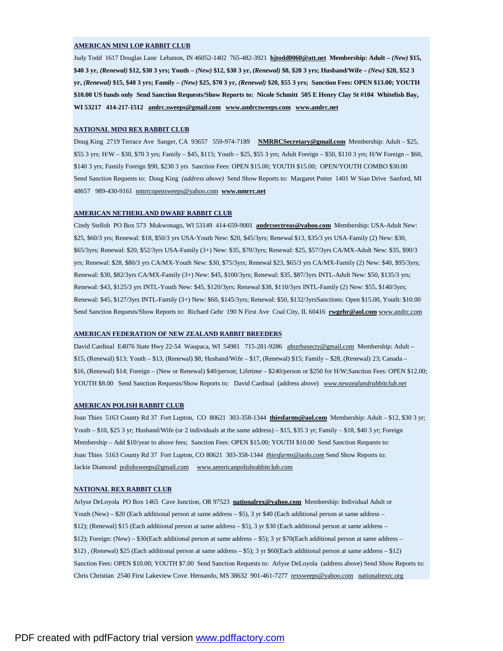#### **AMERICAN MINI LOP RABBIT CLUB**

Judy Todd1617 Douglas LaneLebanon, IN 46052-1402765-482-3921 **[hjtodd0060@att.net](mailto:hjtodd0060@att.net) Membership: Adult –** *(New)* **\$15,**  \$40 3 yr, (Renewal) \$12, \$30 3 yrs; Youth – (New) \$12, \$30 3 yr, (Renewal) \$8, \$20 3 yrs; Husband/Wife – (New) \$20, \$52 3 yr, (Renewal) \$15, \$40 3 yrs; Family - (New) \$25, \$70 3 yr, (Renewal) \$20, \$55 3 yrs; Sanction Fees: OPEN \$13.00; YOUTH **\$10.00 US funds only Send Sanction Requests/Show Reports to: Nicole Schmitt 505 E Henry Clay St #104 Whitefish Bay, WI 53217 414-217-1512 [amlrc.sweeps@gmail.com](mailto:amlrc.sweeps@gmail.com) [www.amlrcsweeps.com](http://www.amlrcsweeps.com) [www.amlrc.net](http://www.amlrc.net)**

#### **NATIONAL MINI REX RABBIT CLUB**

Doug King 2719 Terrace Ave Sanger, CA 93657 559-974-7189 **[NMRRCSecretary@gmail.com](mailto:NMRRCSecretary@gmail.com)** Membership: Adult – \$25, \$55 3 yrs; H/W – \$30, \$70 3 yrs; Family – \$45, \$115; Youth – \$25, \$55 3 yrs; Adult Foreign – \$50, \$110 3 yrs; H/W Foreign – \$60, \$140 3 yrs; Family Foreign \$90, \$230 3 yrs Sanction Fees: OPEN \$15.00; YOUTH \$15.00; OPEN/YOUTH COMBO \$30.00 Send Sanction Requests to: Doug King *(address above)* Send Show Reports to: Margaret Potter 1401 W Sian Drive Sanford, MI 48657 989-430-9161 [nmrrcopensweeps@yahoo.com](mailto:nmrrcopensweeps@yahoo.com) **[www.nmrrc.net](http://www.nmrrc.net)**

#### **AMERICAN NETHERLAND DWARF RABBIT CLUB**

Cindy StellohPO Box 573 Mukwonago, WI 53149 414-659-9001 **[andrcsectreas@yahoo.com](mailto:andrcsectreas@yahoo.com)** Membership: USA-Adult New: \$25, \$60/3 yrs; Renewal: \$18, \$50/3 yrs USA-Youth New: \$20, \$45/3yrs; Renewal \$13, \$35/3 yrs USA-Family (2) New: \$30, \$65/3yrs; Renewal: \$20, \$52/3yrs USA-Family (3+) New: \$35, \$70/3yrs; Renewal: \$25, \$57/3yrs CA/MX-Adult New: \$35, \$90/3 yrs; Renewal: \$28, \$80/3 yrs CA/MX-Youth New: \$30, \$75/3yrs; Renewal \$23, \$65/3 yrs CA/MX-Family (2) New: \$40, \$95/3yrs; Renewal: \$30, \$82/3yrs CA/MX-Family (3+) New: \$45, \$100/3yrs; Renewal: \$35, \$87/3yrs INTL-Adult New: \$50, \$135/3 yrs; Renewal: \$43, \$125/3 yrs INTL-Youth New: \$45, \$120/3yrs; Renewal \$38, \$110/3yrs INTL-Family (2) New: \$55, \$140/3yrs; Renewal: \$45, \$127/3yrs INTL-Family (3+) New: \$60, \$145/3yrs; Renewal: \$50, \$132/3yrsSanctions: Open \$15.00, Youth: \$10.00 Send Sanction Requests/Show Reports to: Richard Gehr 190 N First Ave Coal City, IL 60416 **[rwgehr@aol.com](mailto:rwgehr@aol.com)** [www.andrc.com](http://www.andrc.com)

#### **AMERICAN FEDERATION OF NEW ZEALAND RABBIT BREEDERS**

David Cardinal E4076 State Hwy 22-54 Waupaca, WI 54981 715-281-9286 [afnzrbasecty@gmail.com](mailto:afnzrbasecty@gmail.com) Membership: Adult – \$15, (Renewal) \$13; Youth – \$13, (Renewal) \$8; Husband/Wife – \$17, (Renewal) \$15; Family – \$28, (Renewal) 23; Canada – \$16, (Renewal) \$14; Foreign – (New or Renewal) \$40/person; Lifetime – \$240/person or \$250 for H/W;Sanction Fees: OPEN \$12.00; YOUTH \$8.00 Send Sanction Requests/Show Reports to: David Cardinal (address above) *[www.newzealandrabbitclub.net](http://www.newzealandrabbitclub.net)*

#### **AMERICAN POLISH RABBIT CLUB**

Joan Thies 5163 County Rd 37 Fort Lupton, CO 80621 303-358-1344 **[thiesfarms@aol.com](mailto:thiesfarms@aol.com)** Membership: Adult – \$12, \$30 3 yr; Youth – \$10, \$25 3 yr; Husband/Wife (or 2 individuals at the same address) – \$15, \$35 3 yr; Family – \$18, \$40 3 yr; Foreign Membership – Add \$10/year to above fees; Sanction Fees: OPEN \$15.00; YOUTH \$10.00 Send Sanction Requests to: Joan Thies 5163 County Rd 37 Fort Lupton, CO 80621 303-358-1344 *[thiesfarms@aolo.com](mailto:thiesfarms@aolo.com)* Send Show Reports to: Jackie Diamond [polishsweeps@gmail.com](mailto:polishsweeps@gmail.com) [www.americanpolishrabbitclub.com](http://www.americanpolishrabbitclub.com)

#### **NATIONAL REX RABBIT CLUB**

Arlyse DeLoyola PO Box 1465 Cave Junction, OR 97523 **[nationalrex@yahoo.com](mailto:nationalrex@yahoo.com)** Membership: Individual Adult or Youth (New) – \$20 (Each additional person at same address – \$5), 3 yr \$40 (Each additional person at same address – \$12); (Renewal) \$15 (Each additional person at same address – \$5), 3 yr \$30 (Each additional person at same address – \$12); Foreign: (New) – \$30(Each additional person at same address – \$5); 3 yr \$70(Each additional person at same address – \$12) , (Renewal) \$25 (Each additional person at same address – \$5); 3 yr \$60(Each additional person at same address – \$12) Sanction Fees: OPEN \$10.00; YOUTH \$7.00 Send Sanction Requests to: Arlyse DeLoyola (address above) Send Show Reports to: Chris Christian 2540 First Lakeview Cove Hernando, MS 38632 901-461-7277 [rexsweeps@yahoo.com](mailto:rexsweeps@yahoo.com) nationalrexrc.org